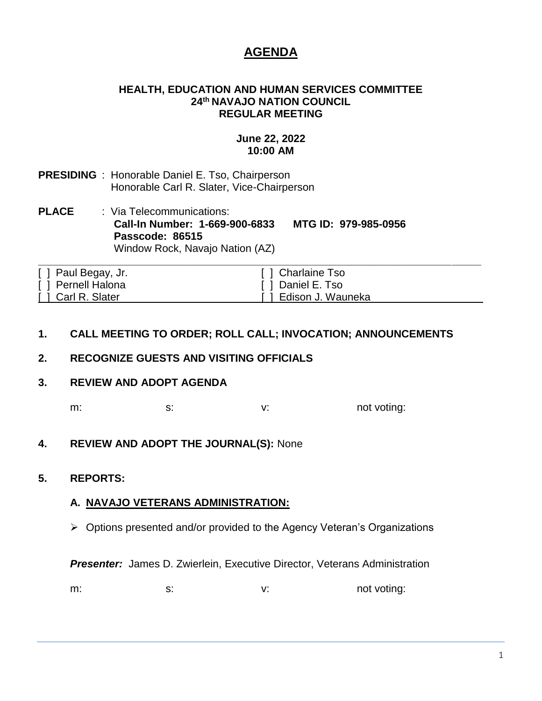# **AGENDA**

#### **HEALTH, EDUCATION AND HUMAN SERVICES COMMITTEE 24th NAVAJO NATION COUNCIL REGULAR MEETING**

# **June 22, 2022 10:00 AM**

- **PRESIDING** : Honorable Daniel E. Tso, Chairperson Honorable Carl R. Slater, Vice-Chairperson
- **PLACE** : Via Telecommunications: **Call-In Number: 1-669-900-6833 MTG ID: 979-985-0956 Passcode: 86515** Window Rock, Navajo Nation (AZ)

| [ ] Paul Begay, Jr. | [ ] Charlaine Tso     |
|---------------------|-----------------------|
| [ ] Pernell Halona  | [ ] Daniel E. Tso     |
| [ ] Carl R. Slater  | [ ] Edison J. Wauneka |

# **1. CALL MEETING TO ORDER; ROLL CALL; INVOCATION; ANNOUNCEMENTS**

# **2. RECOGNIZE GUESTS AND VISITING OFFICIALS**

#### **3. REVIEW AND ADOPT AGENDA**

m: s: s: v: v: not voting:

# **4. REVIEW AND ADOPT THE JOURNAL(S):** None

#### **5. REPORTS:**

# **A. NAVAJO VETERANS ADMINISTRATION:**

➢ Options presented and/or provided to the Agency Veteran's Organizations

**Presenter:** James D. Zwierlein, Executive Director, Veterans Administration

m: s: s: v: v: not voting: